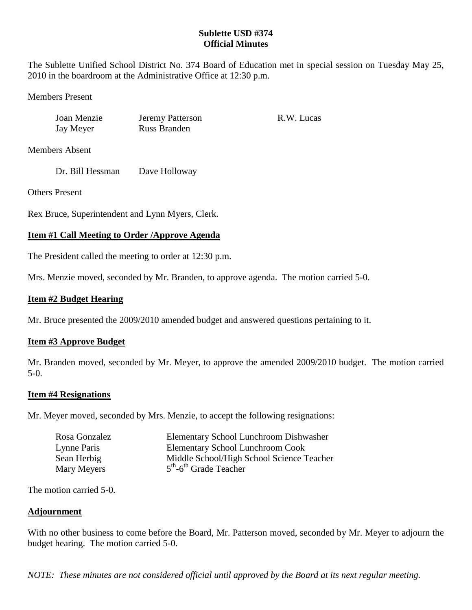# **Sublette USD #374 Official Minutes**

The Sublette Unified School District No. 374 Board of Education met in special session on Tuesday May 25, 2010 in the boardroom at the Administrative Office at 12:30 p.m.

Members Present

Joan Menzie Jeremy Patterson R.W. Lucas Jay Meyer Russ Branden

Members Absent

Dr. Bill Hessman Dave Holloway

Others Present

Rex Bruce, Superintendent and Lynn Myers, Clerk.

# **Item #1 Call Meeting to Order /Approve Agenda**

The President called the meeting to order at 12:30 p.m.

Mrs. Menzie moved, seconded by Mr. Branden, to approve agenda. The motion carried 5-0.

## **Item #2 Budget Hearing**

Mr. Bruce presented the 2009/2010 amended budget and answered questions pertaining to it.

## **Item #3 Approve Budget**

Mr. Branden moved, seconded by Mr. Meyer, to approve the amended 2009/2010 budget. The motion carried 5-0.

## **Item #4 Resignations**

Mr. Meyer moved, seconded by Mrs. Menzie, to accept the following resignations:

| Rosa Gonzalez | <b>Elementary School Lunchroom Dishwasher</b> |
|---------------|-----------------------------------------------|
| Lynne Paris   | <b>Elementary School Lunchroom Cook</b>       |
| Sean Herbig   | Middle School/High School Science Teacher     |
| Mary Meyers   | $5th$ -6 <sup>th</sup> Grade Teacher          |

The motion carried 5-0.

## **Adjournment**

With no other business to come before the Board, Mr. Patterson moved, seconded by Mr. Meyer to adjourn the budget hearing. The motion carried 5-0.

*NOTE: These minutes are not considered official until approved by the Board at its next regular meeting.*